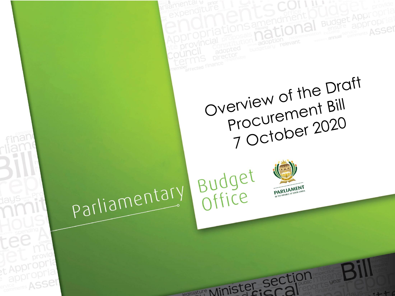

<sub>st</sub> Appropr appropria

ervice ASSer



legislature Minister section

Overview of the Draft Procurement Bill 7 October 2020

**Budget Appropi** 

ASSer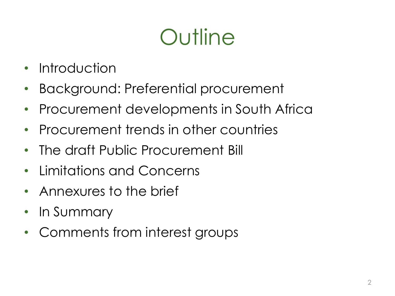# **Outline**

- **Introduction**
- Background: Preferential procurement
- Procurement developments in South Africa
- Procurement trends in other countries
- The draft Public Procurement Bill
- Limitations and Concerns
- Annexures to the brief
- In Summary
- Comments from interest groups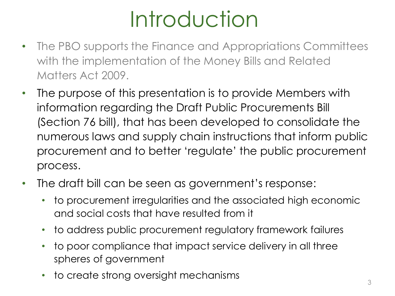# Introduction

- The PBO supports the Finance and Appropriations Committees with the implementation of the Money Bills and Related Matters Act 2009.
- The purpose of this presentation is to provide Members with information regarding the Draft Public Procurements Bill (Section 76 bill), that has been developed to consolidate the numerous laws and supply chain instructions that inform public procurement and to better 'regulate' the public procurement process.
- The draft bill can be seen as government's response:
	- to procurement irregularities and the associated high economic and social costs that have resulted from it
	- to address public procurement regulatory framework failures
	- to poor compliance that impact service delivery in all three spheres of government
	- to create strong oversight mechanisms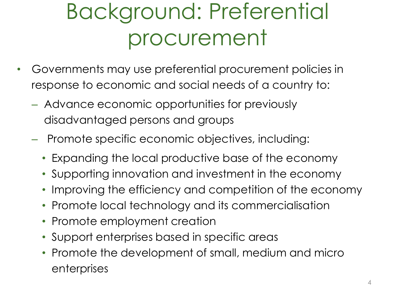# Background: Preferential procurement

- Governments may use preferential procurement policies in response to economic and social needs of a country to:
	- Advance economic opportunities for previously disadvantaged persons and groups
	- Promote specific economic objectives, including:
		- Expanding the local productive base of the economy
		- Supporting innovation and investment in the economy
		- Improving the efficiency and competition of the economy
		- Promote local technology and its commercialisation
		- Promote employment creation
		- Support enterprises based in specific areas
		- Promote the development of small, medium and micro enterprises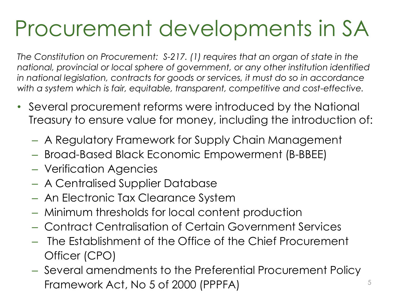# Procurement developments in SA

*The Constitution on Procurement: S-217. (1) requires that an organ of state in the national, provincial or local sphere of government, or any other institution identified in national legislation, contracts for goods or services, it must do so in accordance with a system which is fair, equitable, transparent, competitive and cost-effective.*

- Several procurement reforms were introduced by the National Treasury to ensure value for money, including the introduction of:
	- A Regulatory Framework for Supply Chain Management
	- Broad-Based Black Economic Empowerment (B-BBEE)
	- Verification Agencies
	- A Centralised Supplier Database
	- An Electronic Tax Clearance System
	- Minimum thresholds for local content production
	- Contract Centralisation of Certain Government Services
	- The Establishment of the Office of the Chief Procurement Officer (CPO)
	- Several amendments to the Preferential Procurement Policy Framework Act, No 5 of 2000 (PPPFA)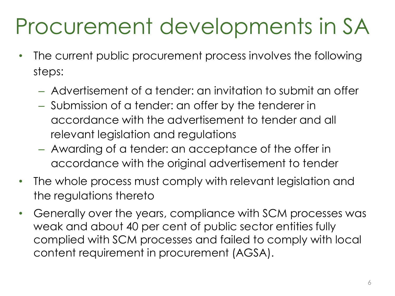### Procurement developments in SA

- The current public procurement process involves the following steps:
	- Advertisement of a tender: an invitation to submit an offer
	- Submission of a tender: an offer by the tenderer in accordance with the advertisement to tender and all relevant legislation and regulations
	- Awarding of a tender: an acceptance of the offer in accordance with the original advertisement to tender
- The whole process must comply with relevant legislation and the regulations thereto
- Generally over the years, compliance with SCM processes was weak and about 40 per cent of public sector entities fully complied with SCM processes and failed to comply with local content requirement in procurement (AGSA).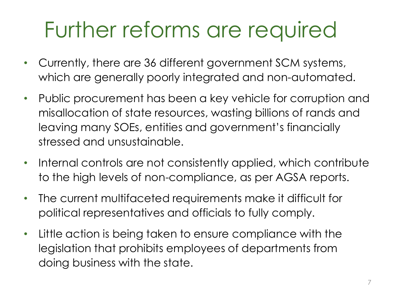# Further reforms are required

- Currently, there are 36 different government SCM systems, which are generally poorly integrated and non-automated.
- Public procurement has been a key vehicle for corruption and misallocation of state resources, wasting billions of rands and leaving many SOEs, entities and government's financially stressed and unsustainable.
- Internal controls are not consistently applied, which contribute to the high levels of non-compliance, as per AGSA reports.
- The current multifaceted requirements make it difficult for political representatives and officials to fully comply.
- Little action is being taken to ensure compliance with the legislation that prohibits employees of departments from doing business with the state.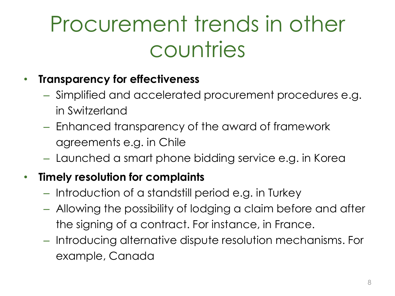## Procurement trends in other countries

#### • **Transparency for effectiveness**

- Simplified and accelerated procurement procedures e.g. in Switzerland
- Enhanced transparency of the award of framework agreements e.g. in Chile
- Launched a smart phone bidding service e.g. in Korea

#### • **Timely resolution for complaints**

- Introduction of a standstill period e.g. in Turkey
- Allowing the possibility of lodging a claim before and after the signing of a contract. For instance, in France.
- Introducing alternative dispute resolution mechanisms. For example, Canada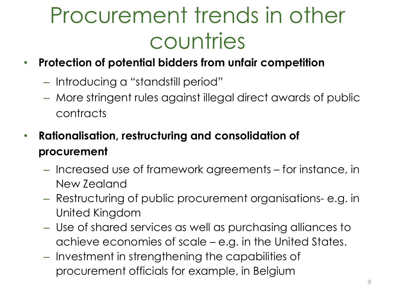## Procurement trends in other countries

- **Protection of potential bidders from unfair competition**
	- Introducing a "standstill period"
	- More stringent rules against illegal direct awards of public contracts
- **Rationalisation, restructuring and consolidation of procurement**
	- Increased use of framework agreements for instance, in New Zealand
	- Restructuring of public procurement organisations- e.g. in United Kingdom
	- Use of shared services as well as purchasing alliances to achieve economies of scale – e.g. in the United States.
	- Investment in strengthening the capabilities of procurement officials for example, in Belgium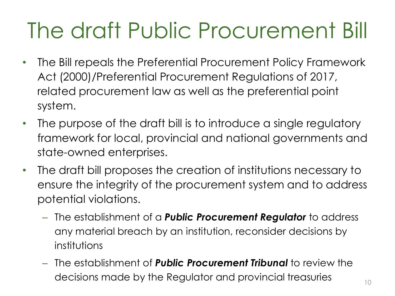# The draft Public Procurement Bill

- The Bill repeals the Preferential Procurement Policy Framework Act (2000)/Preferential Procurement Regulations of 2017, related procurement law as well as the preferential point system.
- The purpose of the draft bill is to introduce a single regulatory framework for local, provincial and national governments and state-owned enterprises.
- The draft bill proposes the creation of institutions necessary to ensure the integrity of the procurement system and to address potential violations.
	- The establishment of a *Public Procurement Regulator* to address any material breach by an institution, reconsider decisions by institutions
	- The establishment of *Public Procurement Tribunal* to review the decisions made by the Regulator and provincial treasuries  $\overline{\phantom{a}}_{10}$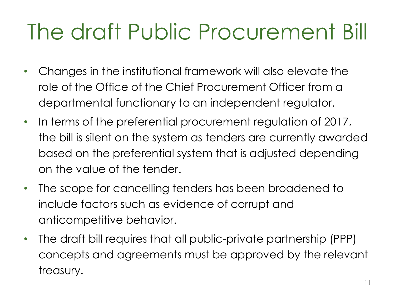# The draft Public Procurement Bill

- Changes in the institutional framework will also elevate the role of the Office of the Chief Procurement Officer from a departmental functionary to an independent regulator.
- In terms of the preferential procurement regulation of 2017, the bill is silent on the system as tenders are currently awarded based on the preferential system that is adjusted depending on the value of the tender.
- The scope for cancelling tenders has been broadened to include factors such as evidence of corrupt and anticompetitive behavior.
- The draft bill requires that all public-private partnership (PPP) concepts and agreements must be approved by the relevant treasury.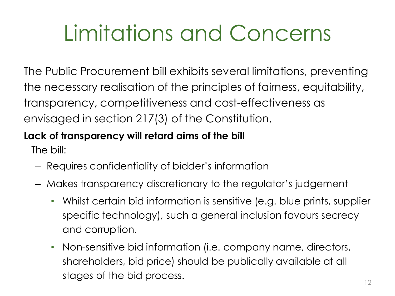# Limitations and Concerns

The Public Procurement bill exhibits several limitations, preventing the necessary realisation of the principles of fairness, equitability, transparency, competitiveness and cost-effectiveness as envisaged in section 217(3) of the Constitution.

#### **Lack of transparency will retard aims of the bill**

The bill:

- Requires confidentiality of bidder's information
- Makes transparency discretionary to the regulator's judgement
	- Whilst certain bid information is sensitive (e.g. blue prints, supplier specific technology), such a general inclusion favours secrecy and corruption.
	- Non-sensitive bid information (i.e. company name, directors, shareholders, bid price) should be publically available at all stages of the bid process.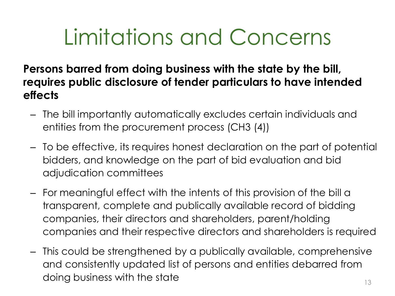## Limitations and Concerns

**Persons barred from doing business with the state by the bill, requires public disclosure of tender particulars to have intended effects**

- The bill importantly automatically excludes certain individuals and entities from the procurement process (CH3 (4))
- To be effective, its requires honest declaration on the part of potential bidders, and knowledge on the part of bid evaluation and bid adjudication committees
- For meaningful effect with the intents of this provision of the bill a transparent, complete and publically available record of bidding companies, their directors and shareholders, parent/holding companies and their respective directors and shareholders is required
- This could be strengthened by a publically available, comprehensive and consistently updated list of persons and entities debarred from doing business with the state  $13$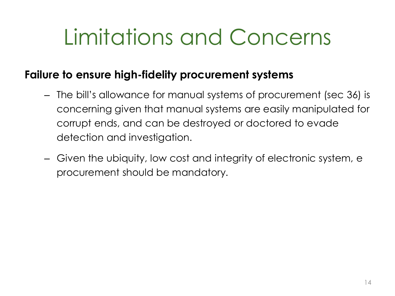## Limitations and Concerns

#### **Failure to ensure high-fidelity procurement systems**

- The bill's allowance for manual systems of procurement (sec 36) is concerning given that manual systems are easily manipulated for corrupt ends, and can be destroyed or doctored to evade detection and investigation.
- Given the ubiquity, low cost and integrity of electronic system, e procurement should be mandatory.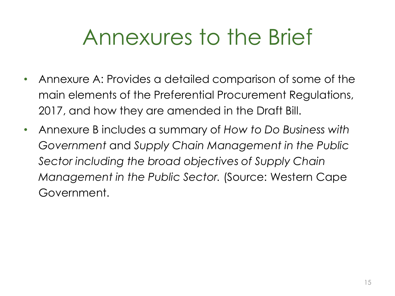#### Annexures to the Brief

- Annexure A: Provides a detailed comparison of some of the main elements of the Preferential Procurement Regulations, 2017, and how they are amended in the Draft Bill.
- Annexure B includes a summary of *How to Do Business with Government* and *Supply Chain Management in the Public Sector including the broad objectives of Supply Chain Management in the Public Sector.* (Source: Western Cape Government.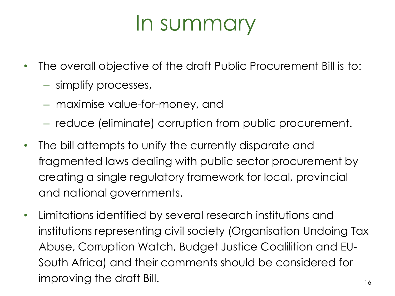#### In summary

- The overall objective of the draft Public Procurement Bill is to:
	- simplify processes,
	- maximise value-for-money, and
	- reduce (eliminate) corruption from public procurement.
- The bill attempts to unify the currently disparate and fragmented laws dealing with public sector procurement by creating a single regulatory framework for local, provincial and national governments.
- Limitations identified by several research institutions and institutions representing civil society (Organisation Undoing Tax Abuse, Corruption Watch, Budget Justice Coalilition and EU-South Africa) and their comments should be considered for improving the draft Bill. The state of the state  $\frac{16}{16}$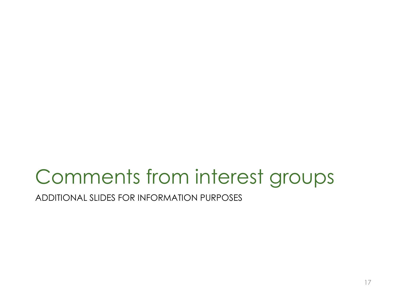ADDITIONAL SLIDES FOR INFORMATION PURPOSES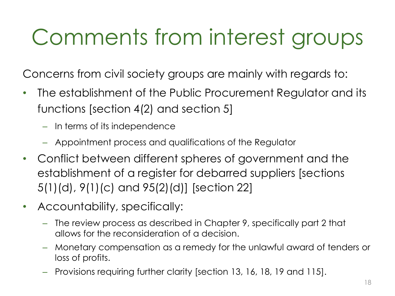Concerns from civil society groups are mainly with regards to:

- The establishment of the Public Procurement Regulator and its functions [section 4(2) and section 5]
	- In terms of its independence
	- Appointment process and qualifications of the Regulator
- Conflict between different spheres of government and the establishment of a register for debarred suppliers [sections 5(1)(d), 9(1)(c) and 95(2)(d)] [section 22]
- Accountability, specifically:
	- The review process as described in Chapter 9, specifically part 2 that allows for the reconsideration of a decision.
	- Monetary compensation as a remedy for the unlawful award of tenders or loss of profits.
	- Provisions requiring further clarity [section 13, 16, 18, 19 and 115].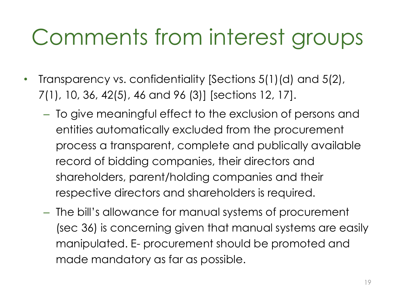- Transparency vs. confidentiality [Sections 5(1)(d) and 5(2), 7(1), 10, 36, 42(5), 46 and 96 (3)] [sections 12, 17].
	- To give meaningful effect to the exclusion of persons and entities automatically excluded from the procurement process a transparent, complete and publically available record of bidding companies, their directors and shareholders, parent/holding companies and their respective directors and shareholders is required.
	- The bill's allowance for manual systems of procurement (sec 36) is concerning given that manual systems are easily manipulated. E- procurement should be promoted and made mandatory as far as possible.